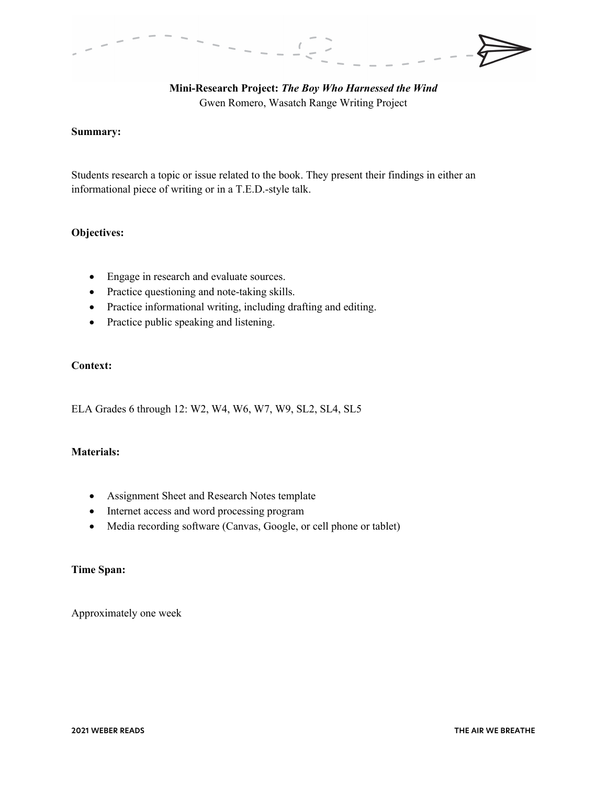

**Mini-Research Project:** *The Boy Who Harnessed the Wind* Gwen Romero, Wasatch Range Writing Project

## **Summary:**

Students research a topic or issue related to the book. They present their findings in either an informational piece of writing or in a T.E.D.-style talk.

## **Objectives:**

- Engage in research and evaluate sources.
- Practice questioning and note-taking skills.
- Practice informational writing, including drafting and editing.
- Practice public speaking and listening.

# **Context:**

ELA Grades 6 through 12: W2, W4, W6, W7, W9, SL2, SL4, SL5

#### **Materials:**

- Assignment Sheet and Research Notes template
- Internet access and word processing program
- Media recording software (Canvas, Google, or cell phone or tablet)

## **Time Span:**

Approximately one week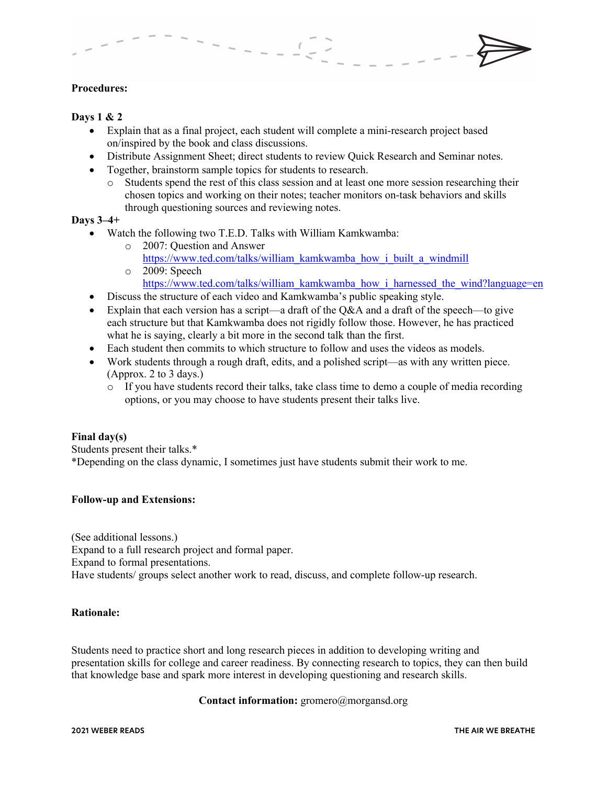## **Procedures:**

#### **Days 1 & 2**

- Explain that as a final project, each student will complete a mini-research project based on/inspired by the book and class discussions.
- Distribute Assignment Sheet; direct students to review Quick Research and Seminar notes.
- Together, brainstorm sample topics for students to research.
	- o Students spend the rest of this class session and at least one more session researching their chosen topics and working on their notes; teacher monitors on-task behaviors and skills through questioning sources and reviewing notes.

#### **Days 3–4+**

- Watch the following two T.E.D. Talks with William Kamkwamba:
	- o 2007: Question and Answer https://www.ted.com/talks/william\_kamkwamba\_how\_i\_built\_a\_windmill o 2009: Speech
		- https://www.ted.com/talks/william\_kamkwamba\_how\_i\_harnessed\_the\_wind?language=en
- Discuss the structure of each video and Kamkwamba's public speaking style.
- Explain that each version has a script—a draft of the  $Q&AA$  and a draft of the speech—to give each structure but that Kamkwamba does not rigidly follow those. However, he has practiced what he is saying, clearly a bit more in the second talk than the first.
- Each student then commits to which structure to follow and uses the videos as models.
- Work students through a rough draft, edits, and a polished script—as with any written piece. (Approx. 2 to 3 days.)
	- $\circ$  If you have students record their talks, take class time to demo a couple of media recording options, or you may choose to have students present their talks live.

#### **Final day(s)**

Students present their talks.\* \*Depending on the class dynamic, I sometimes just have students submit their work to me.

#### **Follow-up and Extensions:**

(See additional lessons.) Expand to a full research project and formal paper. Expand to formal presentations. Have students/ groups select another work to read, discuss, and complete follow-up research.

#### **Rationale:**

Students need to practice short and long research pieces in addition to developing writing and presentation skills for college and career readiness. By connecting research to topics, they can then build that knowledge base and spark more interest in developing questioning and research skills.

## **Contact information:** gromero@morgansd.org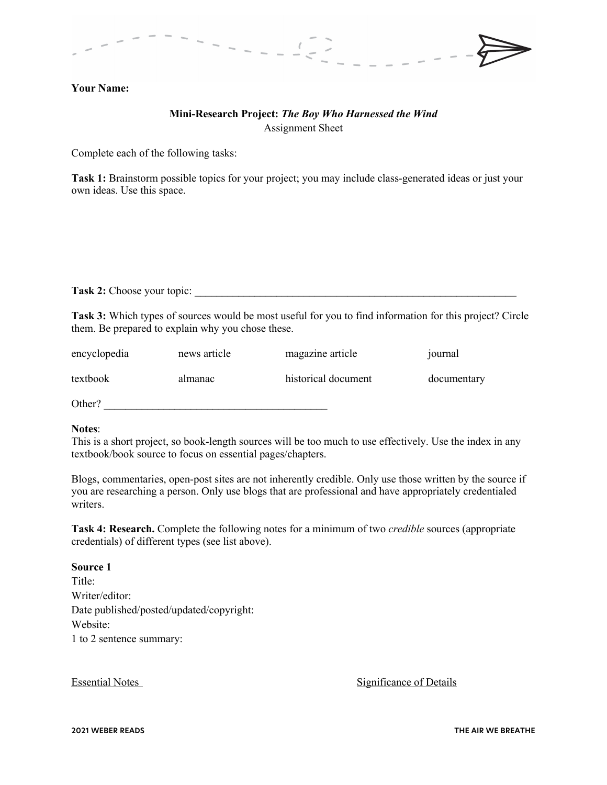

## **Your Name:**

# **Mini-Research Project:** *The Boy Who Harnessed the Wind* Assignment Sheet

Complete each of the following tasks:

**Task 1:** Brainstorm possible topics for your project; you may include class-generated ideas or just your own ideas. Use this space.

**Task 2:** Choose your topic:

**Task 3:** Which types of sources would be most useful for you to find information for this project? Circle them. Be prepared to explain why you chose these.

| encyclopedia | news article | magazine article    | journal     |
|--------------|--------------|---------------------|-------------|
| textbook     | almanac      | historical document | documentary |
| Other?       |              |                     |             |

#### **Notes**:

This is a short project, so book-length sources will be too much to use effectively. Use the index in any textbook/book source to focus on essential pages/chapters.

Blogs, commentaries, open-post sites are not inherently credible. Only use those written by the source if you are researching a person. Only use blogs that are professional and have appropriately credentialed writers.

**Task 4: Research.** Complete the following notes for a minimum of two *credible* sources (appropriate credentials) of different types (see list above).

## **Source 1**

Title: Writer/editor: Date published/posted/updated/copyright: Website: 1 to 2 sentence summary:

Essential Notes **Significance of Details**